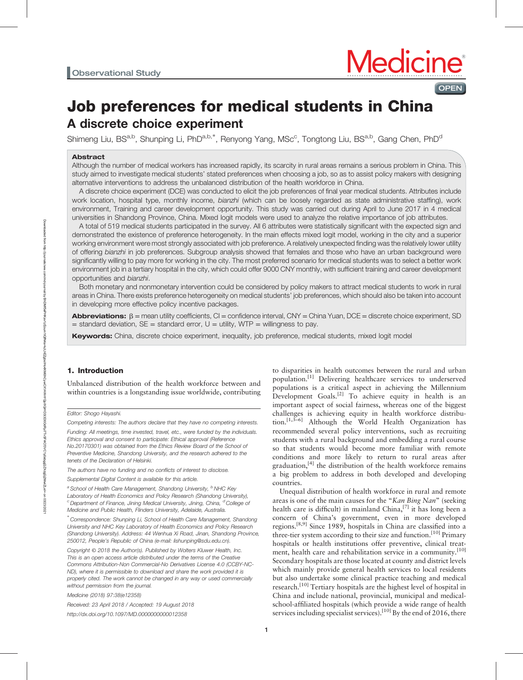**OPEN** 

# Job preferences for medical students in China A discrete choice experiment

Shimeng Liu, BS<sup>a,b</sup>, Shunping Li, PhD<sup>a,b,\*</sup>, Renyong Yang, MSc<sup>c</sup>, Tongtong Liu, BS<sup>a,b</sup>, Gang Chen, PhD<sup>d</sup>

# Abstract

Although the number of medical workers has increased rapidly, its scarcity in rural areas remains a serious problem in China. This study aimed to investigate medical students' stated preferences when choosing a job, so as to assist policy makers with designing alternative interventions to address the unbalanced distribution of the health workforce in China.

A discrete choice experiment (DCE) was conducted to elicit the job preferences of final year medical students. Attributes include work location, hospital type, monthly income, bianzhi (which can be loosely regarded as state administrative staffing), work environment, Training and career development opportunity. This study was carried out during April to June 2017 in 4 medical universities in Shandong Province, China. Mixed logit models were used to analyze the relative importance of job attributes.

A total of 519 medical students participated in the survey. All 6 attributes were statistically significant with the expected sign and demonstrated the existence of preference heterogeneity. In the main effects mixed logit model, working in the city and a superior working environment were most strongly associated with job preference. A relatively unexpected finding was the relatively lower utility of offering bianzhi in job preferences. Subgroup analysis showed that females and those who have an urban background were significantly willing to pay more for working in the city. The most preferred scenario for medical students was to select a better work environment job in a tertiary hospital in the city, which could offer 9000 CNY monthly, with sufficient training and career development opportunities and bianzhi.

Both monetary and nonmonetary intervention could be considered by policy makers to attract medical students to work in rural areas in China. There exists preference heterogeneity on medical students' job preferences, which should also be taken into account in developing more effective policy incentive packages.

**Abbreviations:**  $\beta$  = mean utility coefficients, CI = confidence interval, CNY = China Yuan, DCE = discrete choice experiment, SD  $=$  standard deviation, SE = standard error, U = utility, WTP = willingness to pay.

Keywords: China, discrete choice experiment, inequality, job preference, medical students, mixed logit model

# 1. Introduction

Unbalanced distribution of the health workforce between and within countries is a longstanding issue worldwide, contributing

Competing interests: The authors declare that they have no competing interests.

Funding: All meetings, time invested, travel, etc., were funded by the individuals. Ethics approval and consent to participate: Ethical approval (Reference No.20170301) was obtained from the Ethics Review Board of the School of Preventive Medicine, Shandong University, and the research adhered to the tenets of the Declaration of Helsinki.

The authors have no funding and no conflicts of interest to disclose.

Supplemental Digital Content is available for this article.

<sup>a</sup> School of Health Care Management, Shandong University, <sup>b</sup>NHC Key Laboratory of Health Economics and Policy Research (Shandong University),  $\degree$ Department of Finance, Jining Medical University, Jining, China,  $\degree$ College of Medicine and Public Health, Flinders University, Adelaide, Australia.

∗ Correspondence: Shunping Li, School of Health Care Management, Shandong University and NHC Key Laboratory of Health Economics and Policy Research (Shandong University). Address: 44 Wenhua Xi Road, Jinan, Shandong Province, 250012, People's Republic of China (e-mail: [lishunping@sdu.edu.cn\)](mailto:lishunping@sdu.edu.cn).

Copyright © 2018 the Author(s). Published by Wolters Kluwer Health, Inc. This is an open access article distributed under the terms of the [Creative](http://creativecommons.org/licenses/by-nc-nd/4.0) [Commons Attribution-Non Commercial-No Derivatives License 4.0](http://creativecommons.org/licenses/by-nc-nd/4.0) (CCBY-NC-ND), where it is permissible to download and share the work provided it is properly cited. The work cannot be changed in any way or used commercially without permission from the journal.

Medicine (2018) 97:38(e12358)

Received: 23 April 2018 / Accepted: 19 August 2018 <http://dx.doi.org/10.1097/MD.0000000000012358>

to disparities in health outcomes between the rural and urban population.[1] Delivering healthcare services to underserved populations is a critical aspect in achieving the Millennium Development Goals.<sup>[2]</sup> To achieve equity in health is an important aspect of social fairness, whereas one of the biggest challenges is achieving equity in health workforce distribution.[1,3–6] Although the World Health Organization has recommended several policy interventions, such as recruiting students with a rural background and embedding a rural course so that students would become more familiar with remote conditions and more likely to return to rural areas after graduation, $[4]$  the distribution of the health workforce remains a big problem to address in both developed and developing countries.

Unequal distribution of health workforce in rural and remote areas is one of the main causes for the "Kan Bing Nan" (seeking health care is difficult) in mainland China,  $^{[7]}$  it has long been a concern of China's government, even in more developed regions.[8,9] Since 1989, hospitals in China are classified into a three-tier system according to their size and function.<sup>[10]</sup> Primary hospitals or health institutions offer preventive, clinical treatment, health care and rehabilitation service in a community.<sup>[10]</sup> Secondary hospitals are those located at county and district levels which mainly provide general health services to local residents but also undertake some clinical practice teaching and medical research.<sup>[10]</sup> Tertiary hospitals are the highest level of hospital in China and include national, provincial, municipal and medicalschool-affiliated hospitals (which provide a wide range of health services including specialist services).<sup>[10]</sup> By the end of 2016, there

Editor: Shogo Hayashi.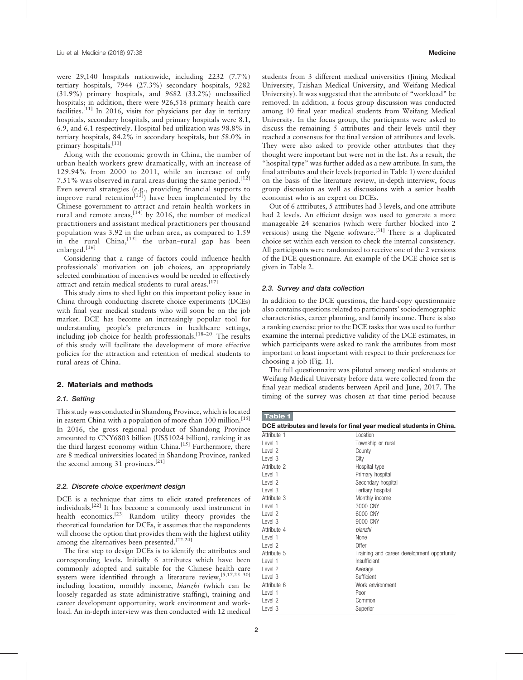were 29,140 hospitals nationwide, including 2232 (7.7%) tertiary hospitals, 7944 (27.3%) secondary hospitals, 9282 (31.9%) primary hospitals, and 9682 (33.2%) unclassified hospitals; in addition, there were 926,518 primary health care facilities.<sup>[11]</sup> In 2016, visits for physicians per day in tertiary hospitals, secondary hospitals, and primary hospitals were 8.1, 6.9, and 6.1 respectively. Hospital bed utilization was 98.8% in tertiary hospitals, 84.2% in secondary hospitals, but 58.0% in primary hospitals.[11]

Along with the economic growth in China, the number of urban health workers grew dramatically, with an increase of 129.94% from 2000 to 2011, while an increase of only 7.51% was observed in rural areas during the same period.<sup>[12]</sup> Even several strategies (e.g., providing financial supports to improve rural retention<sup>[13]</sup>) have been implemented by the Chinese government to attract and retain health workers in rural and remote areas,  $[14]$  by 2016, the number of medical practitioners and assistant medical practitioners per thousand population was 3.92 in the urban area, as compared to 1.59  $\overrightarrow{in}$  the rural China, <sup>[15]</sup> the urban–rural gap has been enlarged.[16]

Considering that a range of factors could influence health professionals' motivation on job choices, an appropriately selected combination of incentives would be needed to effectively attract and retain medical students to rural areas.<sup>[17]</sup>

This study aims to shed light on this important policy issue in China through conducting discrete choice experiments (DCEs) with final year medical students who will soon be on the job market. DCE has become an increasingly popular tool for understanding people's preferences in healthcare settings, including job choice for health professionals.<sup>[18-20]</sup> The results of this study will facilitate the development of more effective policies for the attraction and retention of medical students to rural areas of China.

## 2. Materials and methods

#### 2.1. Setting

This study was conducted in Shandong Province, which is located in eastern China with a population of more than 100 million.<sup>[15]</sup> In 2016, the gross regional product of Shandong Province amounted to CNY6803 billion (US\$1024 billion), ranking it as the third largest economy within China.<sup>[15]</sup> Furthermore, there are 8 medical universities located in Shandong Province, ranked the second among 31 provinces.<sup>[21]</sup>

#### 2.2. Discrete choice experiment design

DCE is a technique that aims to elicit stated preferences of individuals.[22] It has become a commonly used instrument in health economics.<sup>[23]</sup> Random utility theory provides the theoretical foundation for DCEs, it assumes that the respondents will choose the option that provides them with the highest utility among the alternatives been presented.<sup>[22,24]</sup>

The first step to design DCEs is to identify the attributes and corresponding levels. Initially 6 attributes which have been commonly adopted and suitable for the Chinese health care system were identified through a literature review,[5,17,25–30] including location, monthly income, bianzhi (which can be loosely regarded as state administrative staffing), training and career development opportunity, work environment and workload. An in-depth interview was then conducted with 12 medical students from 3 different medical universities (Jining Medical University, Taishan Medical University, and Weifang Medical University). It was suggested that the attribute of "workload" be removed. In addition, a focus group discussion was conducted among 10 final year medical students from Weifang Medical University. In the focus group, the participants were asked to discuss the remaining 5 attributes and their levels until they reached a consensus for the final version of attributes and levels. They were also asked to provide other attributes that they thought were important but were not in the list. As a result, the "hospital type" was further added as a new attribute. In sum, the final attributes and their levels (reported in Table 1) were decided on the basis of the literature review, in-depth interview, focus group discussion as well as discussions with a senior health economist who is an expert on DCEs.

Out of 6 attributes, 5 attributes had 3 levels, and one attribute had 2 levels. An efficient design was used to generate a more manageable 24 scenarios (which were further blocked into 2 versions) using the Ngene software.[31] There is a duplicated choice set within each version to check the internal consistency. All participants were randomized to receive one of the 2 versions of the DCE questionnaire. An example of the DCE choice set is given in Table 2.

#### 2.3. Survey and data collection

In addition to the DCE questions, the hard-copy questionnaire also contains questions related to participants' sociodemographic characteristics, career planning, and family income. There is also a ranking exercise prior to the DCE tasks that was used to further examine the internal predictive validity of the DCE estimates, in which participants were asked to rank the attributes from most important to least important with respect to their preferences for choosing a job (Fig. 1).

The full questionnaire was piloted among medical students at Weifang Medical University before data were collected from the final year medical students between April and June, 2017. The timing of the survey was chosen at that time period because

| <b>Table 1</b>     |                                                                     |
|--------------------|---------------------------------------------------------------------|
|                    | DCE attributes and levels for final year medical students in China. |
| Attribute 1        | Location                                                            |
| I evel 1           | Township or rural                                                   |
| Level <sub>2</sub> | County                                                              |
| Level 3            | City                                                                |
| Attribute 2        | Hospital type                                                       |
| I evel 1           | Primary hospital                                                    |
| Level <sub>2</sub> | Secondary hospital                                                  |
| I evel 3           | Tertiary hospital                                                   |
| Attribute 3        | Monthly income                                                      |
| I evel 1           | 3000 CNY                                                            |
| Level 2            | 6000 CNY                                                            |
| I evel 3           | 9000 CNY                                                            |
| Attribute 4        | hianzhi                                                             |
| I evel 1           | <b>None</b>                                                         |
| level 2            | Offer                                                               |
| Attribute 5        | Training and career development opportunity                         |
| I evel 1           | Insufficient                                                        |
| Level 2            | Average                                                             |
| I evel 3           | Sufficient                                                          |
| Attribute 6        | Work environment                                                    |
| Level 1            | Poor                                                                |
| Level 2            | Common                                                              |
| Level 3            | Superior                                                            |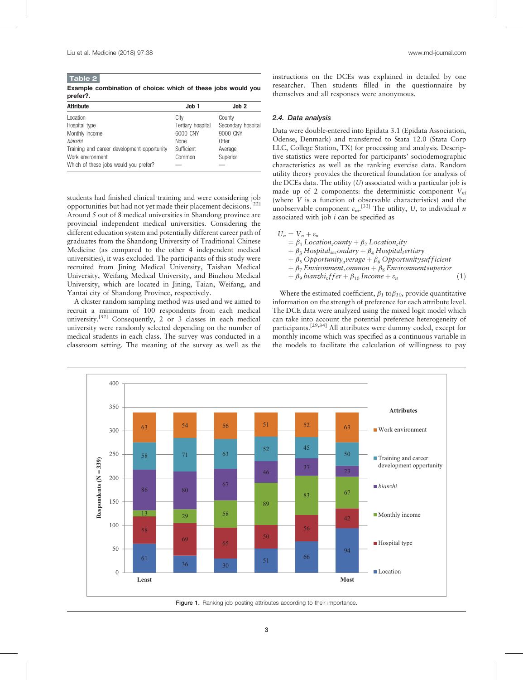Table 2 Example combination of choice: which of these jobs would you prefer?.

| Job 1             | Job <sub>2</sub>   |
|-------------------|--------------------|
| City              | County             |
| Tertiary hospital | Secondary hospital |
| 6000 CNY          | 9000 CNY           |
| <b>None</b>       | Offer              |
| Sufficient        | Average            |
| Common            | Superior           |
|                   |                    |
|                   |                    |

students had finished clinical training and were considering job opportunities but had not yet made their placement decisions.[22] Around 5 out of 8 medical universities in Shandong province are provincial independent medical universities. Considering the different education system and potentially different career path of graduates from the Shandong University of Traditional Chinese Medicine (as compared to the other 4 independent medical universities), it was excluded. The participants of this study were recruited from Jining Medical University, Taishan Medical University, Weifang Medical University, and Binzhou Medical University, which are located in Jining, Taian, Weifang, and Yantai city of Shandong Province, respectively.

A cluster random sampling method was used and we aimed to recruit a minimum of 100 respondents from each medical university.<sup>[32]</sup> Consequently, 2 or 3 classes in each medical university were randomly selected depending on the number of medical students in each class. The survey was conducted in a classroom setting. The meaning of the survey as well as the

instructions on the DCEs was explained in detailed by one researcher. Then students filled in the questionnaire by themselves and all responses were anonymous.

## 2.4. Data analysis

Data were double-entered into Epidata 3.1 (Epidata Association, Odense, Denmark) and transferred to Stata 12.0 (Stata Corp LLC, College Station, TX) for processing and analysis. Descriptive statistics were reported for participants' sociodemographic characteristics as well as the ranking exercise data. Random utility theory provides the theoretical foundation for analysis of the DCEs data. The utility  $(U)$  associated with a particular job is made up of 2 components: the deterministic component  $V_{ni}$ (where V is a function of observable characteristics) and the unobservable component  $\varepsilon_{ni}$ .<sup>[33]</sup> The utility, U, to individual *n* associated with job  $i$  can be specified as

 $U_n = V_n + \varepsilon_n$  $= \beta_1$  Location<sub>c</sub>ounty +  $\beta_2$  Location<sub>c</sub>ity  $+ \beta_3$  Hospital<sub>sec</sub>ondary  $+ \beta_4$  Hospital<sub>t</sub>ertiary  $+ \beta_5$  Opportunity<sub>a</sub>verage  $+ \beta_6$  Opportunitysuf ficient  $+\beta_7$  Environment<sub>c</sub>ommon  $+\beta_8$  Environmentsuperior  $+\beta_9$  bianzhi<sub>o</sub>f f er  $+\beta_{10}$  Income  $+\varepsilon_n$  (1)

Where the estimated coefficient,  $\beta_1$  to  $\beta_{10}$ , provide quantitative information on the strength of preference for each attribute level. The DCE data were analyzed using the mixed logit model which can take into account the potential preference heterogeneity of participants.<sup>[29,34]</sup> All attributes were dummy coded, except for monthly income which was specified as a continuous variable in the models to facilitate the calculation of willingness to pay



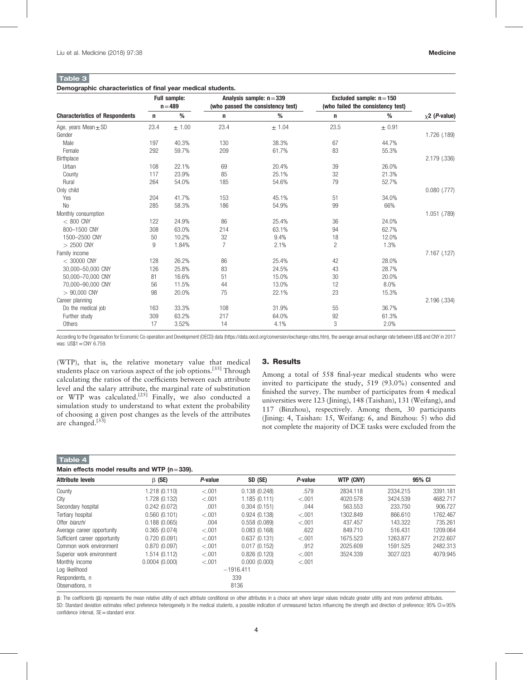#### Table 3 Demographic characteristics of final year medical students.

|                                       | <b>Full sample:</b><br>$n = 489$ |        |                | Analysis sample: $n = 339$<br>(who passed the consistency test) | Excluded sample: $n = 150$<br>(who failed the consistency test) |            |                             |
|---------------------------------------|----------------------------------|--------|----------------|-----------------------------------------------------------------|-----------------------------------------------------------------|------------|-----------------------------|
| <b>Characteristics of Respondents</b> | n                                | %      | n              | %                                                               | n                                                               | %          | $\chi$ 2 ( <i>P</i> -value) |
| Age, years Mean $\pm$ SD              | 23.4                             | ± 1.00 | 23.4           | ± 1.04                                                          | 23.5                                                            | $\pm$ 0.91 |                             |
| Gender                                |                                  |        |                |                                                                 |                                                                 |            | 1.726 (.189)                |
| Male                                  | 197                              | 40.3%  | 130            | 38.3%                                                           | 67                                                              | 44.7%      |                             |
| Female                                | 292                              | 59.7%  | 209            | 61.7%                                                           | 83                                                              | 55.3%      |                             |
| Birthplace                            |                                  |        |                |                                                                 |                                                                 |            | 2.179 (.336)                |
| Urban                                 | 108                              | 22.1%  | 69             | 20.4%                                                           | 39                                                              | 26.0%      |                             |
| County                                | 117                              | 23.9%  | 85             | 25.1%                                                           | 32                                                              | 21.3%      |                             |
| Rural                                 | 264                              | 54.0%  | 185            | 54.6%                                                           | 79                                                              | 52.7%      |                             |
| Only child                            |                                  |        |                |                                                                 |                                                                 |            | $0.080$ $(.777)$            |
| Yes                                   | 204                              | 41.7%  | 153            | 45.1%                                                           | 51                                                              | 34.0%      |                             |
| <b>No</b>                             | 285                              | 58.3%  | 186            | 54.9%                                                           | 99                                                              | 66%        |                             |
| Monthly consumption                   |                                  |        |                |                                                                 |                                                                 |            | 1.051 (.789)                |
| $< 800$ CNY                           | 122                              | 24.9%  | 86             | 25.4%                                                           | 36                                                              | 24.0%      |                             |
| 800-1500 CNY                          | 308                              | 63.0%  | 214            | 63.1%                                                           | 94                                                              | 62.7%      |                             |
| 1500-2500 CNY                         | 50                               | 10.2%  | 32             | 9.4%                                                            | 18                                                              | 12.0%      |                             |
| $> 2500$ CNY                          | 9                                | 1.84%  | $\overline{7}$ | 2.1%                                                            | $\overline{c}$                                                  | 1.3%       |                             |
| Family income                         |                                  |        |                |                                                                 |                                                                 |            | 7.167 (.127)                |
| $<$ 30000 CNY                         | 128                              | 26.2%  | 86             | 25.4%                                                           | 42                                                              | 28.0%      |                             |
| 30,000-50,000 CNY                     | 126                              | 25.8%  | 83             | 24.5%                                                           | 43                                                              | 28.7%      |                             |
| 50.000-70.000 CNY                     | 81                               | 16.6%  | 51             | 15.0%                                                           | 30                                                              | 20.0%      |                             |
| 70,000-90,000 CNY                     | 56                               | 11.5%  | 44             | 13.0%                                                           | 12                                                              | 8.0%       |                             |
| $> 90,000$ CNY                        | 98                               | 20.0%  | 75             | 22.1%                                                           | 23                                                              | 15.3%      |                             |
| Career planning                       |                                  |        |                |                                                                 |                                                                 |            | 2.196 (.334)                |
| Do the medical job                    | 163                              | 33.3%  | 108            | 31.9%                                                           | 55                                                              | 36.7%      |                             |
| Further study                         | 309                              | 63.2%  | 217            | 64.0%                                                           | 92                                                              | 61.3%      |                             |
| Others                                | 17                               | 3.52%  | 14             | 4.1%                                                            | 3                                                               | 2.0%       |                             |

According to the Organisation for Economic Co-operation and Development (OECD) data [\(https://data.oecd.org/conversion/exchange-rates.htm](https://data.oecd.org/conversion/exchange-rates.htm)), the average annual exchange rate between US\$ and CNY in 2017 was: US\$1=CNY 6.759.

(WTP), that is, the relative monetary value that medical students place on various aspect of the job options.[35] Through calculating the ratios of the coefficients between each attribute level and the salary attribute, the marginal rate of substitution or WTP was calculated.<sup>[25]</sup> Finally, we also conducted a simulation study to understand to what extent the probability of choosing a given post changes as the levels of the attributes are changed.<sup>[33]</sup>

# 3. Results

Among a total of 558 final-year medical students who were invited to participate the study, 519 (93.0%) consented and finished the survey. The number of participates from 4 medical universities were 123 (Jining), 148 (Taishan), 131 (Weifang), and 117 (Binzhou), respectively. Among them, 30 participants (Jining: 4, Taishan: 15, Weifang: 6, and Binzhou: 5) who did not complete the majority of DCE tasks were excluded from the

Table 4

|  |  |  |  |  |  | Main effects model results and WTP ( $n = 339$ ). |
|--|--|--|--|--|--|---------------------------------------------------|
|--|--|--|--|--|--|---------------------------------------------------|

| $m$ $m - v$                   |               |             |              |         |           |          |          |  |
|-------------------------------|---------------|-------------|--------------|---------|-----------|----------|----------|--|
| <b>Attribute levels</b>       | $\beta$ (SE)  | P-value     | SD (SE)      | P-value | WTP (CNY) | 95% CI   |          |  |
| County                        | 1.218 (0.110) | $-.001$     | 0.138(0.248) | .579    | 2834.118  | 2334.215 | 3391.181 |  |
| City                          | 1.728 (0.132) | $-.001$     | 1.185(0.111) | $-.001$ | 4020.578  | 3424.539 | 4682.717 |  |
| Secondary hospital            | 0.242(0.072)  | .001        | 0.304(0.151) | .044    | 563.553   | 233.750  | 906.727  |  |
| Tertiary hospital             | 0.560(0.101)  | $-.001$     | 0.924(0.138) | $-.001$ | 1302.849  | 866.610  | 1762.467 |  |
| Offer bianzhi                 | 0.188(0.065)  | .004        | 0.558(0.089) | $-.001$ | 437.457   | 143.322  | 735.261  |  |
| Average career opportunity    | 0.365(0.074)  | $-.001$     | 0.083(0.168) | .622    | 849.710   | 516.431  | 1209.064 |  |
| Sufficient career opportunity | 0.720(0.091)  | $-.001$     | 0.637(0.131) | $-.001$ | 1675.523  | 1263.877 | 2122.607 |  |
| Common work environment       | 0.870(0.097)  | $-.001$     | 0.017(0.152) | .912    | 2025.609  | 1591.525 | 2482.313 |  |
| Superior work environment     | 1.514 (0.112) | $-.001$     | 0.826(0.120) | $-.001$ | 3524.339  | 3027.023 | 4079.945 |  |
| Monthly income                | 0.0004(0.000) | $-.001$     | 0.000(0.000) | < 0.001 |           |          |          |  |
| Log likelihood                |               | $-1916.411$ |              |         |           |          |          |  |
| Respondents, n                |               | 339         |              |         |           |          |          |  |
| Observations. n               |               |             | 8136         |         |           |          |          |  |

β: The coefficients (β) represents the mean relative utility of each attribute conditional on other attributes in a choice set where larger values indicate greater utility and more preferred attributes. SD: Standard deviation estimates reflect preference heterogeneity in the medical students, a possible indication of unmeasured factors influencing the strength and direction of preference; 95% CI=95% confidence interval, SE=standard error.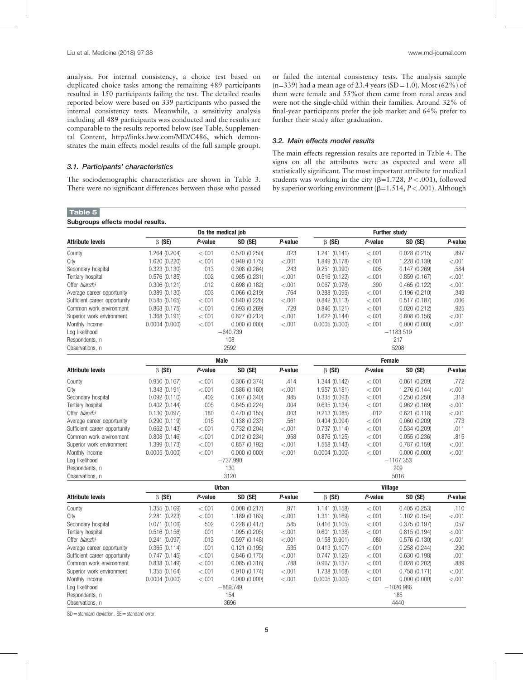analysis. For internal consistency, a choice test based on duplicated choice tasks among the remaining 489 participants resulted in 150 participants failing the test. The detailed results reported below were based on 339 participants who passed the internal consistency tests. Meanwhile, a sensitivity analysis including all 489 participants was conducted and the results are comparable to the results reported below (see Table, Supplemental Content,<http://links.lww.com/MD/C486>, which demonstrates the main effects model results of the full sample group).

## 3.1. Participants' characteristics

Subgroups effects model results.

Table 5

The sociodemographic characteristics are shown in Table 3. There were no significant differences between those who passed or failed the internal consistency tests. The analysis sample  $(n=339)$  had a mean age of 23.4 years (SD = 1.0). Most (62%) of them were female and 55%of them came from rural areas and were not the single-child within their families. Around 32% of final-year participants prefer the job market and 64% prefer to further their study after graduation.

# 3.2. Main effects model results

The main effects regression results are reported in Table 4. The signs on all the attributes were as expected and were all statistically significant. The most important attribute for medical students was working in the city ( $\beta$ =1.728,  $P < .001$ ), followed by superior working environment ( $\beta$ =1.514, P < .001). Although

|                               |               | Do the medical job |                    | <b>Further study</b> |                |               |               |         |  |
|-------------------------------|---------------|--------------------|--------------------|----------------------|----------------|---------------|---------------|---------|--|
| <b>Attribute levels</b>       | $\beta$ (SE)  | P-value            | SD (SE)            | P-value              | $\beta$ (SE)   | P-value       | SD (SE)       | P-value |  |
| County                        | 1.264 (0.204) | < 0.001            | 0.570(0.250)       | .023                 | 1.241(0.141)   | < .001        | 0.028(0.215)  | .897    |  |
| City                          | 1.620 (0.220) | < 0.001            | 0.949(0.175)       | < .001               | 1.849 (0.178)  | < .001        | 1.228 (0.139) | < 0.001 |  |
| Secondary hospital            | 0.323(0.130)  | .013               | 0.308(0.264)       | .243                 | 0.251(0.090)   | .005          | 0.147(0.269)  | .584    |  |
| Tertiary hospital             | 0.576(0.185)  | .002               | 0.985(0.231)       | < .001               | 0.516(0.122)   | < .001        | 0.859(0.167)  | < .001  |  |
| Offer bianzhi                 | 0.306(0.121)  | .012               | 0.698(0.182)       | < .001               | 0.067(0.078)   | .390          | 0.465(0.122)  | < .001  |  |
| Average career opportunity    | 0.389(0.130)  | .003               | 0.066(0.219)       | .764                 | 0.388(0.095)   | < .001        | 0.196(0.210)  | .349    |  |
| Sufficient career opportunity | 0.585(0.165)  | < .001             | 0.840(0.226)       | < .001               | 0.842(0.113)   | < .001        | 0.517(0.187)  | .006    |  |
| Common work environment       | 0.868(0.175)  | < .001             | 0.093(0.269)       | .729                 | 0.846(0.121)   | < .001        | 0.020(0.212)  | .925    |  |
| Superior work environment     | 1.368 (0.191) | < .001             | 0.827(0.212)       | < .001               | 1.622 (0.144)  | < .001        | 0.808(0.156)  | < .001  |  |
| Monthly income                | 0.0004(0.000) | < .001             | 0.000(0.000)       | < .001               | 0.0005(0.000)  | < .001        | 0.000(0.000)  | < .001  |  |
| Log likelihood                |               |                    | $-640.739$         |                      |                |               | $-1183.519$   |         |  |
| Respondents, n                |               |                    | 108                |                      |                |               | 217           |         |  |
| Observations, n               |               |                    | 2592               |                      | 5208           |               |               |         |  |
|                               |               | <b>Male</b>        |                    |                      |                | <b>Female</b> |               |         |  |
| <b>Attribute levels</b>       | $\beta$ (SE)  | P-value            | SD <sub>(SE)</sub> | P-value              | $\beta$ (SE)   | P-value       | SD (SE)       | P-value |  |
| County                        | 0.950(0.167)  | < .001             | 0.306(0.374)       | .414                 | 1.344 (0.142)  | < .001        | 0.061(0.209)  | .772    |  |
| City                          | 1.343 (0.191) | < .001             | 0.886(0.160)       | < .001               | 1.957 (0.181)  | < .001        | 1.276 (0.144) | < .001  |  |
| Secondary hospital            | 0.092(0.110)  | .402               | 0.007(0.340)       | .985                 | 0.335(0.093)   | < .001        | 0.250(0.250)  | .318    |  |
| Tertiary hospital             | 0.402(0.144)  | .005               | 0.645(0.224)       | .004                 | 0.635(0.134)   | < .001        | 0.962(0.169)  | < .001  |  |
| Offer bianzhi                 | 0.130(0.097)  | .180               | 0.470(0.155)       | .003                 | 0.213(0.085)   | .012          | 0.621(0.118)  | < 0.001 |  |
| Average career opportunity    | 0.290(0.119)  | .015               | 0.138(0.237)       | .561                 | 0.404(0.094)   | < .001        | 0.060(0.209)  | .773    |  |
| Sufficient career opportunity | 0.662(0.143)  | < 0.001            | 0.732(0.204)       | < .001               | 0.737(0.114)   | < .001        | 0.534(0.209)  | .011    |  |
| Common work environment       | 0.808(0.146)  | < 0.001            | 0.012(0.234)       | .958                 | 0.876(0.125)   | < .001        | 0.055(0.236)  | .815    |  |
| Superior work environment     | 1.399 (0.173) | < 0.001            | 0.857(0.192)       | < 0.001              | 1.558 (0.143)  | < .001        | 0.787(0.159)  | < 0.001 |  |
| Monthly income                | 0.0005(0.000) | < 0.001            | 0.000(0.000)       | < .001               | 0.0004(0.000)  | < .001        | 0.000(0.000)  | < 0.001 |  |
| Log likelihood                |               |                    | $-737.990$         |                      |                |               | $-1167.353$   |         |  |
| Respondents, n                |               |                    | 130                |                      | 209            |               |               |         |  |
| Observations, n               |               |                    | 3120               |                      | 5016           |               |               |         |  |
|                               |               | <b>Urban</b>       |                    |                      | <b>Village</b> |               |               |         |  |
| <b>Attribute levels</b>       | $\beta$ (SE)  | P-value            | SD (SE)            | P-value              | $\beta$ (SE)   | P-value       | SD (SE)       | P-value |  |
| County                        | 1.355 (0.169) | < .001             | 0.008(0.217)       | .971                 | 1.141 (0.158)  | < .001        | 0.405(0.253)  | .110    |  |
| City                          | 2.281 (0.223) | < .001             | 1.189 (0.163)      | < .001               | 1.311 (0.169)  | < .001        | 1.102 (0.154) | < .001  |  |
| Secondary hospital            | 0.071(0.106)  | .502               | 0.228(0.417)       | .585                 | 0.416(0.105)   | < .001        | 0.375(0.197)  | .057    |  |
| Tertiary hospital             | 0.516(0.156)  | .001               | 1.095 (0.205)      | < .001               | 0.601(0.138)   | < .001        | 0.815(0.194)  | < 0.001 |  |
| Offer bianzhi                 | 0.241(0.097)  | .013               | 0.597(0.148)       | < .001               | 0.158(0.901)   | .080          | 0.576(0.130)  | < 0.001 |  |
| Average career opportunity    | 0.365(0.114)  | .001               | 0.121(0.195)       | .535                 | 0.413(0.107)   | < .001        | 0.258(0.244)  | .290    |  |
| Sufficient career opportunity | 0.747(0.145)  | < 0.001            | 0.846(0.175)       | < .001               | 0.747(0.125)   | < .001        | 0.630(0.198)  | .001    |  |
| Common work environment       | 0.838(0.149)  | < 0.001            | 0.085(0.316)       | .788                 | 0.967(0.137)   | < .001        | 0.028(0.202)  | .889    |  |
| Superior work environment     | 1.355 (0.164) | $-.001$            | 0.910(0.174)       | < .001               | 1.738 (0.168)  | < .001        | 0.758(0.171)  | < .001  |  |
| Monthly income                | 0.0004(0.000) | < .001             | 0.000(0.000)       | < .001               | 0.0005(0.000)  | < .001        | 0.000(0.000)  | < .001  |  |
| Log likelihood                |               |                    | $-869.749$         |                      |                |               | $-1026.986$   |         |  |
| Respondents, n                |               |                    | 154                |                      | 185            |               |               |         |  |
| Observations, n               |               |                    | 3696               |                      |                |               | 4440          |         |  |

 $SD =$ standard deviation,  $SE =$ standard error.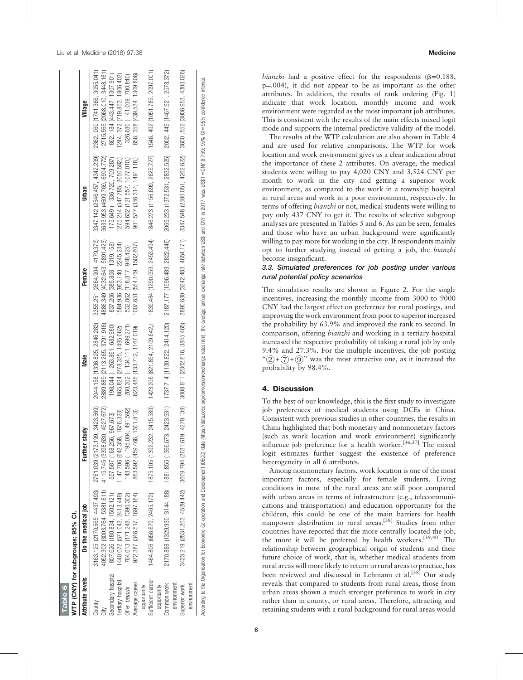$3055.041)$ 3448.161)

Village

336.720, 709.287) 862. 184 (443.447, 1307.901)

862. 184 (443.447, 1307.901) 1244. 372 (719.853, 1806.403)<br>326.680 (-41.009, 700.840) 856. 358 (439.534, 1309.806)

2715.565 (2068.010, 2362.060 (1741.366,

 $(2546.457, 4342.239)$ 5633.953 (4609.769, 6904.772) 175.649 (-336.720, 709.287) 594.632 (121.557, 1077.010.) 1275.214 (547.785, 2050.582,) 901.577 (356.314, 1491.118.)

3347.142

(2664.904, 4179.373) 5891.423)

3355.251

Female

Urban

41.009, 700.840)

2002. 449 (1467.921. 2578.372)

2069.233 (1372.531, 2832.525) 1846.273 (1156.699, 2625.727)

1546. 492 (1051.785, 2097.001)

.552 (3006.953, 4303.026)

3600

3347.548 (2580.051, 4262.622)

Table 6

iable 6

WTP (CNY) for subgroups; 95% CI.

NTP (CNY) for subgroups; 95% CI.

Attribute levels Do the medical job Further study Male Female Urban Village

Male

County 3163.125 (2170.565, 4437.4931.423.669, 2761.281.2846.283, 3444.58 (1336.825, 2846.283) 3355.253) 3355.041 2041, 2041.283) 2362.239, 2362.239, 2362.050 2364.142.289, 3055.041.366, 3055.041) City 4052.302 (3003.764, 5381.611) 4115.745 (3398.630, 4927.672) 2889.889 (2113.265, 3791.916) 4886.349 (4032.643, 5891.423) 5633.953 (4609.769, 6904.772) 2715.565 (2068.010, 3448.161)

2044.158 (1336.825, 2889.889 (2113.265,

2761.039 (2173.199, 3423.569) 4115.745 (3398.630, 4927.672)

Further study

2846.283)

3791.916)

263.861, 682.980) 837.206 (385.858, 1319.158) 175.649 (-

837.206 1584.936

4886.349 (4032.643,

 $(385.858, 1319.158)$ (963.140, 2245.234) 532.862 (118.817, 948.425) 1007.651 (554.109, 1502.607

134.111, 699.271) 532.862 (118.817, 948.425) 594.632 (121.557, 1077.010,) 326.680 (-

Tertiary hospital 1440.072 (571.0449) 1147.706 (642.358, 1676.323) 865.824 (278.325, 1495.062) 1262, 1375.214 (347.785, 2050.582) 1244.372 (719.853, 1806.403)

198.044 (-263.861, 682.980) 865.824 (278.335, 1495.062) 623.485 (133.712, 1167.019)

280.302 (-134.111, 699.271)

972.387 (346.517, 1697.164) 963.592 (459.466, 1302.466, 133.712, 1167.109, 1007.651 (554.109, 1502.607) 901.577 (356.314, 149.118, 147.14, 149.534, 1309.806, 1304.1309.584, 1309.584, 1309.584, 1309.594, 1309.594, 1309.594

1464.806 (656.679, 2405.172) 1875.105 (1392.232, 2415.589) 1423.206 (821.854, 2109.642) 1839.484 (1290.059, 2453.494) 1846.673 (1051.785, 2097.001) 1846.492 (1051.785, 2097.001)

1423.206 (821.854, 2109.642,)

2170.888 (1329.930, 3144.188) 1881.855 (1366.673, 2423.931) 1737.714 (1130.822, 2414.120) 2187.177 (1596.489, 2822.446) 2069.233 (1372.531, 2832.525) 2002. 449 (1467.921, 2578.372)

1737.714 (1130.822, 2414.120)

1881.855 (1366.673, 2423.931)

3609.794 (3031.619, 4279.139)

1875.105 (1392.232, 2415.589)

2187.177 (1596.489, 2822.446) 1839.484 (1290.059, 2453.494)

3423.219 (2531.203, 4529.442) 3609.794 (3031.619, 4279.139) 3008.610, 3845.465, 4865. 3890.680 (3242.484, 458, 426, 4262.622) 3600.552 (3006.953, 4303.026) 4362.622.638.4422.547.648 (2580.6352) 3600 .552 (3006.953, 4303.02

3008.911 (2302.616, 3845.465)

3890.680 (3242.483, 4654.171)

195.004, 491.592) 280.302 (-

1147.706 (642.358, 1676.323)<br>148.596 (-195.004, 491.592) 863.592 (459.466, 1301.813)

Secondary hospital 807.626 (180.834, 1502.121) 557.587 (168.256, 967.673) 198.044 (-

Secondary hospital

Tertiary hospital Average career

Offer bianzhi

3163.125 (2170.565, 4437.493)<br>4052.302 (3003.764, 5381.611) 807.626 (180.834, 1502.121) 440.072 (571.043, 2413.449) 764.613 (171.248, 1390.302)

Do the medical job

**Attribute levels** 

County City

557.587 (168.256, 967.673)

Offer bianzhi 764.613 (171.248, 1390.302) 148.596 (-

972.387 (346.517, 1697.164)

Average career opportunity<br>Sufficient career

Sufficient career opportunity

464.806 (656.679, 2405.172)

Common work environment

environment Common work

2170.888 (1329.930, 3144.188)

Superior work

Superior work

3423.219 (2531.203, 4529.442)

According to the Organisation for Economic Co-operation and Development (DECD) data (https://data.oecd.org/conversion/exchange-rates.htm), the average annual exchange rate between US\$ and CNY in 2017 was: US\$1 = CNY 6.759; According to the Organisation for Economic Co-operation and Development (DECD) data [\(https://data.oecd.org/conversion/exchange-rates.htm\)](https://data.oecd.org/conversion/exchange-rates.htm), the average annual exchange rate between US\$ and CNY in SS19: 95% (DI=95% confidenc environment environment

bianzhi had a positive effect for the respondents ( $\beta$ =0.188, p =.004), it did not appear to be as important as the other attributes. In addition, the results of rank ordering (Fig. 1) indicate that work location, monthly income and work environment were regarded as the most important job attributes. This is consistent with the results of the main effects mixed logit mode and supports the internal predictive validity of the model.

The results of the WTP calculation are also shown in Table 4 and are used for relative comparisons. The WTP for work location and work environment gives us a clear indication about the importance of these 2 attributes. On average, the medical students were willing to pay 4,020 CNY and 3,524 CNY per month to work in the city and getting a superior work environment, as compared to the work in a township hospital in rural areas and work in a poor environment, respectively. In terms of offering bianzhi or not, medical students were willing to pay only 437 CNY to get it. The results of selective subgroup analyses are presented in Tables 5 and 6. As can be seen, females and those who have an urban background were signi ficantly willing to pay more for working in the city. If respondents mainly opt to further studying instead of getting a job, the bianzhi become insigni ficant.

# 3.3. Simulated preferences for job posting under various rural potential policy scenarios

The simulation results are shown in Figure 2. For the single incentives, increasing the monthly income from 3000 to 9000 CNY had the largest effect on preference for rural postings, and improving the work environment from poor to superior increased the probability by 63.9% and improved the rank to second. In comparison, offering *bianzhi* and working in a tertiary hospital increased the respective probability of taking a rural job by only 9.4% and 27.3%. For the multiple incentives, the job posting " $(2) + (7) + (9)$ " was the most attractive one, as it increased the probability by 98.4%.

# 4. Discussion

To the best of our knowledge, this is the first study to investigate job preferences of medical students using DCEs in China. Consistent with previous studies in other countries, the results in China highlighted that both monetary and nonmonetary factors (such as work location and work environment) signi ficantly influence job preference for a health worker.<sup>[36,37]</sup> The mixed logit estimates further suggest the existence of preference heterogeneity in all 6 attributes.

Among nonmonetary factors, work location is one of the most important factors, especially for female students. Living conditions in most of the rural areas are still poor compared with urban areas in terms of infrastructure (e.g., telecommunications and transportation) and education opportunity for the children, this could be one of the main barriers for health manpower distribution to rural areas.[38] Studies from other countries have reported that the more centrally located the job, the more it will be preferred by health workers.[39,40] The relationship between geographical origin of students and their future choice of work, that is, whether medical students from rural areas will more likely to return to rural areas to practice, has been reviewed and discussed in Lehmann et al.<sup>[38]</sup> Our study reveals that compared to students from rural areas, those from urban areas shown a much stronger preference to work in city rather than in county, or rural areas. Therefore, attracting and retaining students with a rural background for rural areas would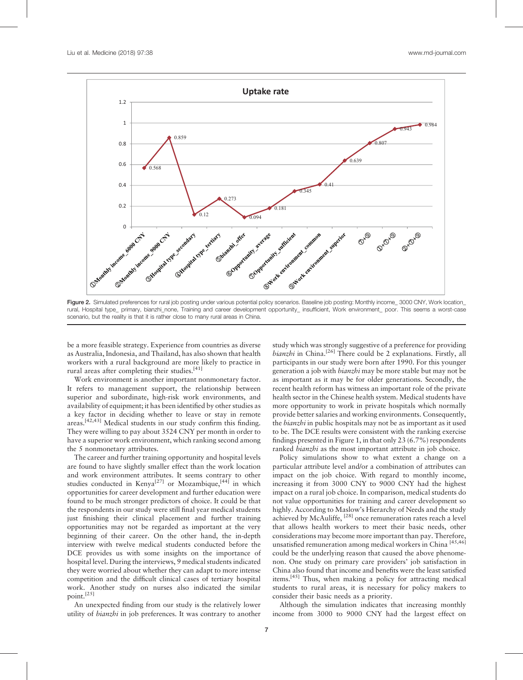

Figure 2. Simulated preferences for rural job posting under various potential policy scenarios. Baseline job posting: Monthly income\_ 3000 CNY, Work location\_ rural, Hospital type\_ primary, bianzhi\_none, Training and career development opportunity\_ insufficient, Work environment\_ poor. This seems a worst-case scenario, but the reality is that it is rather close to many rural areas in China.

be a more feasible strategy. Experience from countries as diverse as Australia, Indonesia, and Thailand, has also shown that health workers with a rural background are more likely to practice in rural areas after completing their studies.<sup>[41]</sup>

Work environment is another important nonmonetary factor. It refers to management support, the relationship between superior and subordinate, high-risk work environments, and availability of equipment; it has been identified by other studies as a key factor in deciding whether to leave or stay in remote areas.[42,43] Medical students in our study confirm this finding. They were willing to pay about 3524 CNY per month in order to have a superior work environment, which ranking second among the 5 nonmonetary attributes.

The career and further training opportunity and hospital levels are found to have slightly smaller effect than the work location and work environment attributes. It seems contrary to other studies conducted in Kenya<sup>[27]</sup> or Mozambique,<sup>[44]</sup> in which opportunities for career development and further education were found to be much stronger predictors of choice. It could be that the respondents in our study were still final year medical students just finishing their clinical placement and further training opportunities may not be regarded as important at the very beginning of their career. On the other hand, the in-depth interview with twelve medical students conducted before the DCE provides us with some insights on the importance of hospital level. During the interviews, 9 medical students indicated they were worried about whether they can adapt to more intense competition and the difficult clinical cases of tertiary hospital work. Another study on nurses also indicated the similar point.[25]

An unexpected finding from our study is the relatively lower utility of *bianzhi* in job preferences. It was contrary to another

study which was strongly suggestive of a preference for providing bianzhi in China.<sup>[26]</sup> There could be 2 explanations. Firstly, all participants in our study were born after 1990. For this younger generation a job with bianzhi may be more stable but may not be as important as it may be for older generations. Secondly, the recent health reform has witness an important role of the private health sector in the Chinese health system. Medical students have more opportunity to work in private hospitals which normally provide better salaries and working environments. Consequently, the *bianzhi* in public hospitals may not be as important as it used to be. The DCE results were consistent with the ranking exercise findings presented in Figure 1, in that only 23 (6.7%) respondents ranked *bianzhi* as the most important attribute in job choice.

Policy simulations show to what extent a change on a particular attribute level and/or a combination of attributes can impact on the job choice. With regard to monthly income, increasing it from 3000 CNY to 9000 CNY had the highest impact on a rural job choice. In comparison, medical students do not value opportunities for training and career development so highly. According to Maslow's Hierarchy of Needs and the study achieved by McAuliffe, [28] once remuneration rates reach a level that allows health workers to meet their basic needs, other considerations may become more important than pay. Therefore, unsatisfied remuneration among medical workers in China [45,46] could be the underlying reason that caused the above phenomenon. One study on primary care providers' job satisfaction in China also found that income and benefits were the least satisfied items.<sup>[45]</sup> Thus, when making a policy for attracting medical students to rural areas, it is necessary for policy makers to consider their basic needs as a priority.

Although the simulation indicates that increasing monthly income from 3000 to 9000 CNY had the largest effect on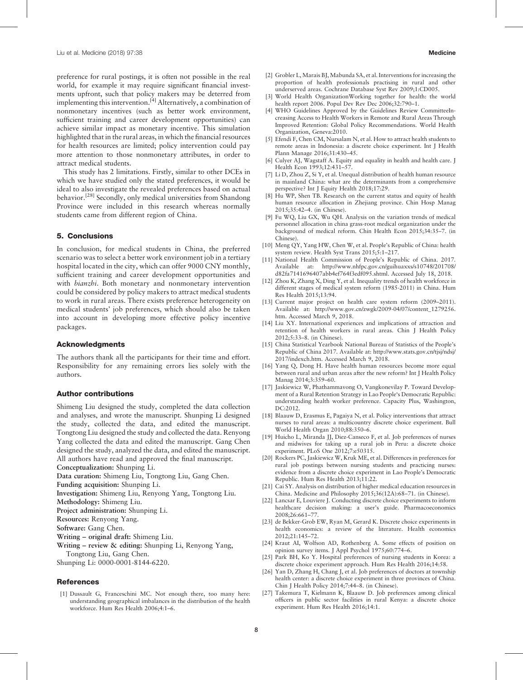preference for rural postings, it is often not possible in the real world, for example it may require significant financial investments upfront, such that policy makers may be deterred from implementing this intervention.[4] Alternatively, a combination of nonmonetary incentives (such as better work environment, sufficient training and career development opportunities) can achieve similar impact as monetary incentive. This simulation highlighted that in the rural areas, in which the financial resources for health resources are limited; policy intervention could pay more attention to those nonmonetary attributes, in order to attract medical students.

This study has 2 limitations. Firstly, similar to other DCEs in which we have studied only the stated preferences, it would be ideal to also investigate the revealed preferences based on actual behavior.[28] Secondly, only medical universities from Shandong Province were included in this research whereas normally students came from different region of China.

#### 5. Conclusions

In conclusion, for medical students in China, the preferred scenario was to select a better work environment job in a tertiary hospital located in the city, which can offer 9000 CNY monthly, sufficient training and career development opportunities and with *bianzhi*. Both monetary and nonmonetary intervention could be considered by policy makers to attract medical students to work in rural areas. There exists preference heterogeneity on medical students' job preferences, which should also be taken into account in developing more effective policy incentive packages.

## Acknowledgments

The authors thank all the participants for their time and effort. Responsibility for any remaining errors lies solely with the authors.

## Author contributions

Shimeng Liu designed the study, completed the data collection and analyses, and wrote the manuscript. Shunping Li designed the study, collected the data, and edited the manuscript. Tongtong Liu designed the study and collected the data. Renyong Yang collected the data and edited the manuscript. Gang Chen designed the study, analyzed the data, and edited the manuscript. All authors have read and approved the final manuscript.

Conceptualization: Shunping Li.

Data curation: Shimeng Liu, Tongtong Liu, Gang Chen.

Funding acquisition: Shunping Li.

Investigation: Shimeng Liu, Renyong Yang, Tongtong Liu. Methodology: Shimeng Liu.

Project administration: Shunping Li.

Resources: Renyong Yang.

Software: Gang Chen.

Writing – original draft: Shimeng Liu.

Writing – review & editing: Shunping Li, Renyong Yang, Tongtong Liu, Gang Chen.

Shunping Li: 0000-0001-8144-6220.

#### References

[1] Dussault G, Franceschini MC. Not enough there, too many here: understanding geographical imbalances in the distribution of the health workforce. Hum Res Health 2006;4:1–6.

- [2] Grobler L, Marais BJ, Mabunda SA, et al. Interventions for increasing the proportion of health professionals practising in rural and other underserved areas. Cochrane Database Syst Rev 2009;1:CD005.
- [3] World Health OrganizationWorking together for health: the world health report 2006. Popul Dev Rev Dec 2006;32:790–1.
- [4] WHO Guidelines Approved by the Guidelines Review CommitteeIncreasing Access to Health Workers in Remote and Rural Areas Through Improved Retention: Global Policy Recommendations. World Health Organization, Geneva:2010.
- [5] Efendi F, Chen CM, Nursalam N, et al. How to attract health students to remote areas in Indonesia: a discrete choice experiment. Int J Health Plann Manage 2016;31:430–45.
- [6] Culyer AJ, Wagstaff A. Equity and equality in health and health care. J Health Econ 1993;12:431–57.
- [7] Li D, Zhou Z, Si Y, et al. Unequal distribution of health human resource in mainland China: what are the determinants from a comprehensive perspective? Int J Equity Health 2018;17:29.
- [8] Hu WP, Shen TB. Research on the current status and equity of health human resource allocation in Zhejiang province. Chin Hosp Manag 2015;35:42–4. (in Chinese).
- [9] Fu WQ, Liu GX, Wu QH. Analysis on the variation trends of medical personnel allocation in china grass-root medical organization under the background of medical reform. Chin Health Econ 2015;34:35–7. (in Chinese).
- [10] Meng QY, Yang HW, Chen W, et al. People's Republic of China: health system review. Health Syst Trans 2015;5:1–217.
- [11] National Health Commission of People's Republic of China. 2017. Available at: [http://www.nhfpc.gov.cn/guihuaxxs/s10748/201708/](http://www.nhfpc.gov.cn/guihuaxxs/s10748/201708/d82fa7141696407abb4ef764f3edf095.shtml) [d82fa7141696407abb4ef764f3edf095.shtml.](http://www.nhfpc.gov.cn/guihuaxxs/s10748/201708/d82fa7141696407abb4ef764f3edf095.shtml) Accessed July 18, 2018.
- [12] Zhou K, Zhang X, Ding Y, et al. Inequality trends of health workforce in different stages of medical system reform (1985-2011) in China. Hum Res Health 2015;13:94.
- [13] Current major project on health care system reform (2009–2011). Available at: [http://www.gov.cn/zwgk/2009-04/07/content\\_1279256.](http://www.gov.cn/zwgk/2009-04/07/content_1279256.htm) [htm](http://www.gov.cn/zwgk/2009-04/07/content_1279256.htm). Accessed March 9, 2018.
- [14] Liu XY. International experiences and implications of attraction and retention of health workers in rural areas. Chin J Health Policy 2012;5:33–8. (in Chinese).
- [15] China Statistical Yearbook National Bureau of Statistics of the People's Republic of China 2017. Available at: [http://www.stats.gov.cn/tjsj/ndsj/](http://www.stats.gov.cn/tjsj/ndsj/2017/indexch.htm) [2017/indexch.htm.](http://www.stats.gov.cn/tjsj/ndsj/2017/indexch.htm) Accessed March 9, 2018.
- [16] Yang Q, Dong H. Have health human resources become more equal between rural and urban areas after the new reform? Int J Health Policy Manag 2014;3:359–60.
- [17] Jaskiewicz W, Phathammavong O, Vangkonevilay P. Toward Development of a Rural Retention Strategy in Lao People's Democratic Republic: understanding health worker preference. Capacity Plus, Washington, DC:2012.
- [18] Blaauw D, Erasmus E, Pagaiya N, et al. Policy interventions that attract nurses to rural areas: a multicountry discrete choice experiment. Bull World Health Organ 2010;88:350–6.
- [19] Huicho L, Miranda JJ, Diez-Canseco F, et al. Job preferences of nurses and midwives for taking up a rural job in Peru: a discrete choice experiment. PLoS One 2012;7:e50315.
- [20] Rockers PC, Jaskiewicz W, Kruk ME, et al. Differences in preferences for rural job postings between nursing students and practicing nurses: evidence from a discrete choice experiment in Lao People's Democratic Republic. Hum Res Health 2013;11:22.
- [21] Cai SY. Analysis on distribution of higher medical education resources in China. Medicine and Philosophy 2015;36(12A):68–71. (in Chinese).
- [22] Lancsar E, Louviere J. Conducting discrete choice experiments to inform healthcare decision making: a user's guide. Pharmacoeconomics 2008;26:661–77.
- [23] de Bekker-Grob EW, Ryan M, Gerard K. Discrete choice experiments in health economics: a review of the literature. Health economics 2012;21:145–72.
- [24] Kraut AI, Wolfson AD, Rothenberg A. Some effects of position on opinion survey items. J Appl Psychol 1975;60:774–6.
- [25] Park BH, Ko Y. Hospital preferences of nursing students in Korea: a discrete choice experiment approach. Hum Res Health 2016;14:58.
- [26] Yan D, Zhang H, Chang J, et al. Job preferences of doctors at township health center: a discrete choice experiment in three provinces of China. Chin J Health Policy 2014;7:44–8. (in Chinese).
- [27] Takemura T, Kielmann K, Blaauw D. Job preferences among clinical officers in public sector facilities in rural Kenya: a discrete choice experiment. Hum Res Health 2016;14:1.